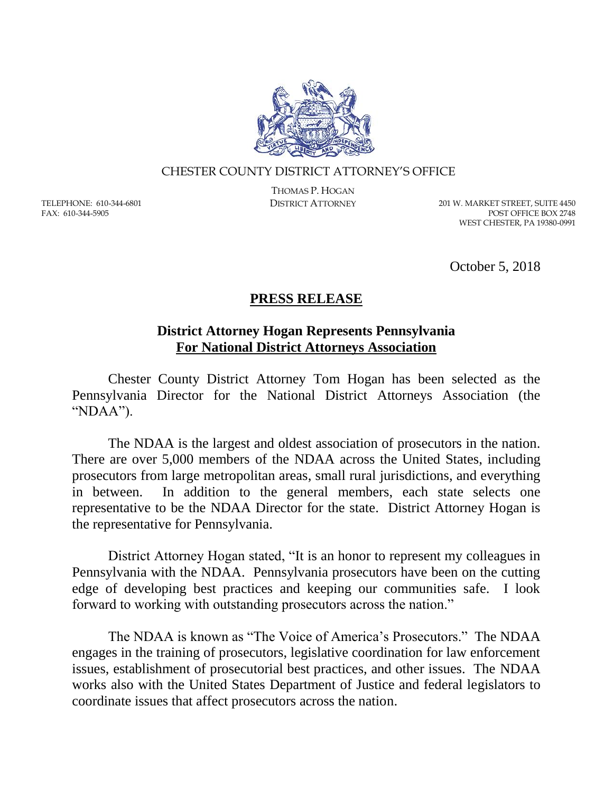

## CHESTER COUNTY DISTRICT ATTORNEY'S OFFICE

TELEPHONE: 610-344-6801 FAX: 610-344-5905

THOMAS P. HOGAN

DISTRICT ATTORNEY 201 W. MARKET STREET, SUITE 4450 POST OFFICE BOX 2748 WEST CHESTER, PA 19380-0991

October 5, 2018

## **PRESS RELEASE**

## **District Attorney Hogan Represents Pennsylvania For National District Attorneys Association**

Chester County District Attorney Tom Hogan has been selected as the Pennsylvania Director for the National District Attorneys Association (the "NDAA").

The NDAA is the largest and oldest association of prosecutors in the nation. There are over 5,000 members of the NDAA across the United States, including prosecutors from large metropolitan areas, small rural jurisdictions, and everything in between. In addition to the general members, each state selects one representative to be the NDAA Director for the state. District Attorney Hogan is the representative for Pennsylvania.

District Attorney Hogan stated, "It is an honor to represent my colleagues in Pennsylvania with the NDAA. Pennsylvania prosecutors have been on the cutting edge of developing best practices and keeping our communities safe. I look forward to working with outstanding prosecutors across the nation."

The NDAA is known as "The Voice of America's Prosecutors." The NDAA engages in the training of prosecutors, legislative coordination for law enforcement issues, establishment of prosecutorial best practices, and other issues. The NDAA works also with the United States Department of Justice and federal legislators to coordinate issues that affect prosecutors across the nation.